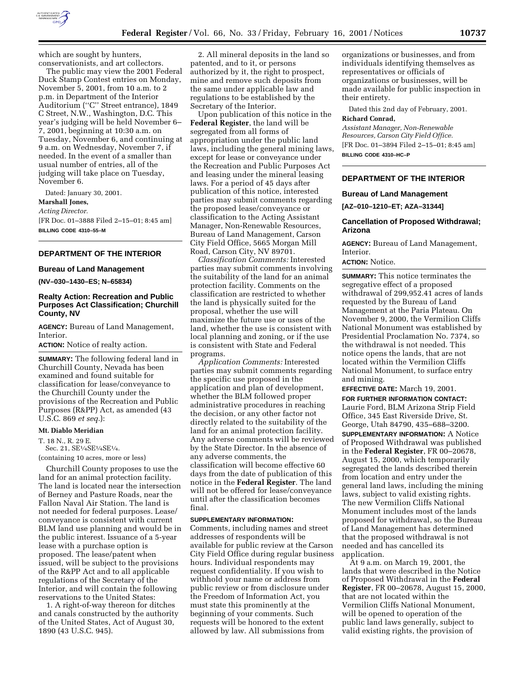

which are sought by hunters, conservationists, and art collectors.

The public may view the 2001 Federal Duck Stamp Contest entries on Monday, November 5, 2001, from 10 a.m. to 2 p.m. in Department of the Interior Auditorium (''C'' Street entrance), 1849 C Street, N.W., Washington, D.C. This year's judging will be held November 6– 7, 2001, beginning at 10:30 a.m. on Tuesday, November 6, and continuing at 9 a.m. on Wednesday, November 7, if needed. In the event of a smaller than usual number of entries, all of the judging will take place on Tuesday, November 6.

Dated: January 30, 2001.

**Marshall Jones,**

*Acting Director.* [FR Doc. 01–3888 Filed 2–15–01; 8:45 am]

**BILLING CODE 4310–55–M**

# **DEPARTMENT OF THE INTERIOR**

## **Bureau of Land Management**

**(NV–030–1430–ES; N–65834)**

## **Realty Action: Recreation and Public Purposes Act Classification; Churchill County, NV**

**AGENCY:** Bureau of Land Management, Interior.

**ACTION:** Notice of realty action.

**SUMMARY:** The following federal land in Churchill County, Nevada has been examined and found suitable for classification for lease/conveyance to the Churchill County under the provisions of the Recreation and Public Purposes (R&PP) Act, as amended (43 U.S.C. 869 *et seq.*):

#### **Mt. Diablo Meridian**

T. 18 N., R. 29 E.

Sec. 21, SE<sup>1</sup>/<sub>4</sub>SE<sup>1</sup>/<sub>4</sub>SE<sup>1</sup>/<sub>4</sub>.

(containing 10 acres, more or less)

Churchill County proposes to use the land for an animal protection facility. The land is located near the intersection of Berney and Pasture Roads, near the Fallon Naval Air Station. The land is not needed for federal purposes. Lease/ conveyance is consistent with current BLM land use planning and would be in the public interest. Issuance of a 5-year lease with a purchase option is proposed. The lease/patent when issued, will be subject to the provisions of the R&PP Act and to all applicable regulations of the Secretary of the Interior, and will contain the following reservations to the United States:

1. A right-of-way thereon for ditches and canals constructed by the authority of the United States, Act of August 30, 1890 (43 U.S.C. 945).

2. All mineral deposits in the land so patented, and to it, or persons authorized by it, the right to prospect, mine and remove such deposits from the same under applicable law and regulations to be established by the Secretary of the Interior.

Upon publication of this notice in the **Federal Register**, the land will be segregated from all forms of appropriation under the public land laws, including the general mining laws, except for lease or conveyance under the Recreation and Public Purposes Act and leasing under the mineral leasing laws. For a period of 45 days after publication of this notice, interested parties may submit comments regarding the proposed lease/conveyance or classification to the Acting Assistant Manager, Non-Renewable Resources, Bureau of Land Management, Carson City Field Office, 5665 Morgan Mill Road, Carson City, NV 89701.

*Classification Comments:* Interested parties may submit comments involving the suitability of the land for an animal protection facility. Comments on the classification are restricted to whether the land is physically suited for the proposal, whether the use will maximize the future use or uses of the land, whether the use is consistent with local planning and zoning, or if the use is consistent with State and Federal programs.

*Application Comments:* Interested parties may submit comments regarding the specific use proposed in the application and plan of development, whether the BLM followed proper administrative procedures in reaching the decision, or any other factor not directly related to the suitability of the land for an animal protection facility. Any adverse comments will be reviewed by the State Director. In the absence of any adverse comments, the classification will become effective 60 days from the date of publication of this notice in the **Federal Register**. The land will not be offered for lease/conveyance until after the classification becomes final.

#### **SUPPLEMENTARY INFORMATION:**

Comments, including names and street addresses of respondents will be available for public review at the Carson City Field Office during regular business hours. Individual respondents may request confidentiality. If you wish to withhold your name or address from public review or from disclosure under the Freedom of Information Act, you must state this prominently at the beginning of your comments. Such requests will be honored to the extent allowed by law. All submissions from

organizations or businesses, and from individuals identifying themselves as representatives or officials of organizations or businesses, will be made available for public inspection in their entirety.

Dated this 2nd day of February, 2001.

### **Richard Conrad,**

*Assistant Manager, Non-Renewable Resources, Carson City Field Office.* [FR Doc. 01–3894 Filed 2–15–01; 8:45 am] **BILLING CODE 4310–HC–P**

## **DEPARTMENT OF THE INTERIOR**

#### **Bureau of Land Management**

**[AZ–010–1210–ET; AZA–31344]**

#### **Cancellation of Proposed Withdrawal; Arizona**

**AGENCY:** Bureau of Land Management, Interior.

### **ACTION:** Notice.

**SUMMARY:** This notice terminates the segregative effect of a proposed withdrawal of 299,952.41 acres of lands requested by the Bureau of Land Management at the Paria Plateau. On November 9, 2000, the Vermilion Cliffs National Monument was established by Presidential Proclamation No. 7374, so the withdrawal is not needed. This notice opens the lands, that are not located within the Vermilion Cliffs National Monument, to surface entry and mining.

**EFFECTIVE DATE:** March 19, 2001. **FOR FURTHER INFORMATION CONTACT:** Laurie Ford, BLM Arizona Strip Field Office, 345 East Riverside Drive, St. George, Utah 84790, 435–688–3200.

**SUPPLEMENTARY INFORMATION:** A Notice of Proposed Withdrawal was published in the **Federal Register**, FR 00–20678, August 15, 2000, which temporarily segregated the lands described therein from location and entry under the general land laws, including the mining laws, subject to valid existing rights. The new Vermilion Cliffs National Monument includes most of the lands proposed for withdrawal, so the Bureau of Land Management has determined that the proposed withdrawal is not needed and has cancelled its application.

At 9 a.m. on March 19, 2001, the lands that were described in the Notice of Proposed Withdrawal in the **Federal Register**, FR 00–20678, August 15, 2000, that are not located within the Vermilion Cliffs National Monument, will be opened to operation of the public land laws generally, subject to valid existing rights, the provision of